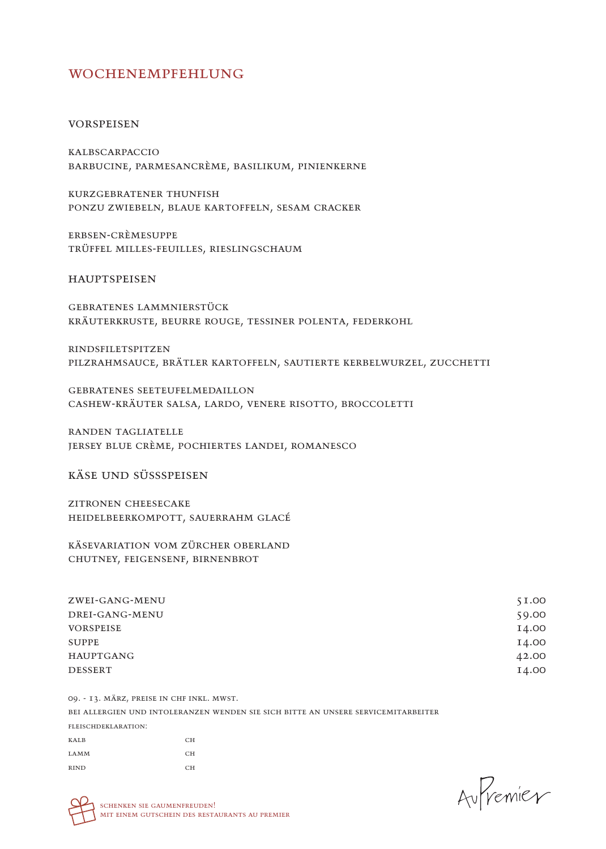# wochenempfehlung

#### vorspeisen

kalbscarpaccio barbucine, parmesancrème, basilikum, pinienkerne

kurzgebratener thunfish ponzu zwiebeln, blaue kartoffeln, sesam cracker

erbsen-crèmesuppe trüffel milles-feuilles, rieslingschaum

hauptspeisen

gebratenes lammnierstück kräuterkruste, beurre rouge, tessiner polenta, federkohl

rindsfiletspitzen pilzrahmsauce, brätler kartoffeln, sautierte kerbelwurzel, zucchetti

gebratenes seeteufelmedaillon cashew-kräuter salsa, lardo, venere risotto, broccoletti

randen tagliatelle jersey blue crème, pochiertes landei, romanesco

käse und süssspeisen

zitronen cheesecake heidelbeerkompott, sauerrahm glacé

käsevariation vom zürcher oberland chutney, feigensenf, birnenbrot

| ZWEI-GANG-MENU   | 51.00 |
|------------------|-------|
| DREI-GANG-MENU   | 59.00 |
| <b>VORSPEISE</b> | 14.00 |
| SUPPE            | 14.00 |
| <b>HAUPTGANG</b> | 42.00 |
| <b>DESSERT</b>   | 14.00 |
|                  |       |

09. - 13. märz, preise in chf inkl. mwst. bei allergien und intoleranzen wenden sie sich bitte an unsere servicemitarbeiter fleischdeklaration: KALB CH LAMM CH RIND CH

Aufremier